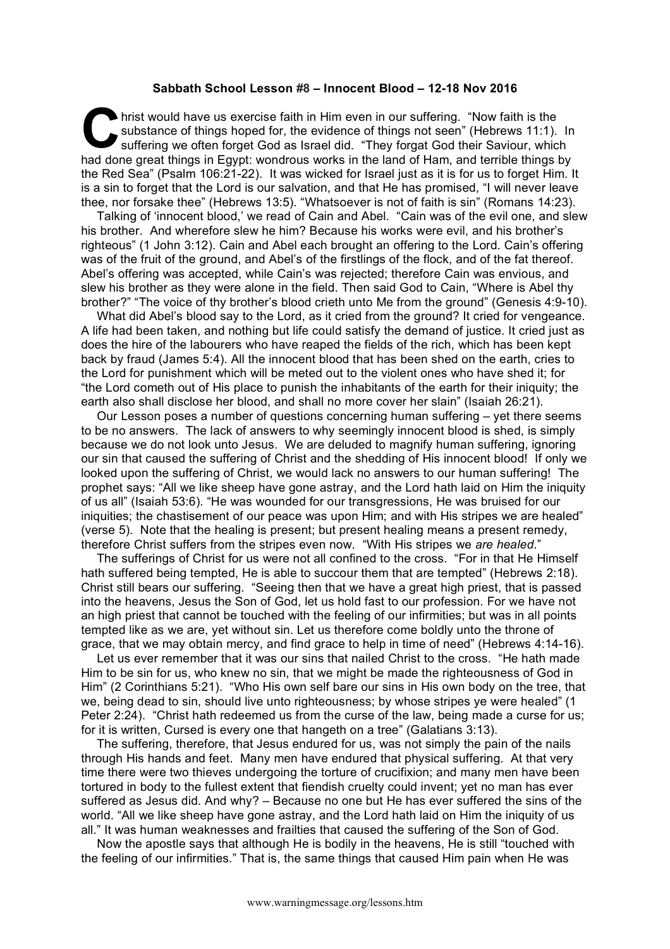## **Sabbath School Lesson #8 – Innocent Blood – 12-18 Nov 2016**

hrist would have us exercise faith in Him even in our suffering. "Now faith is the substance of things hoped for, the evidence of things not seen" (Hebrews 11:1). In suffering we often forget God as Israel did. "They forgat God their Saviour, which had done great things in Egypt: wondrous works in the land of Ham, and terrible things by the Red Sea" (Psalm 106:21-22). It was wicked for Israel just as it is for us to forget Him. It is a sin to forget that the Lord is our salvation, and that He has promised, "I will never leave thee, nor forsake thee" (Hebrews 13:5). "Whatsoever is not of faith is sin" (Romans 14:23). C sul

Talking of 'innocent blood,' we read of Cain and Abel. "Cain was of the evil one, and slew his brother. And wherefore slew he him? Because his works were evil, and his brother's righteous" (1 John 3:12). Cain and Abel each brought an offering to the Lord. Cain's offering was of the fruit of the ground, and Abel's of the firstlings of the flock, and of the fat thereof. Abel's offering was accepted, while Cain's was rejected; therefore Cain was envious, and slew his brother as they were alone in the field. Then said God to Cain, "Where is Abel thy brother?" "The voice of thy brother's blood crieth unto Me from the ground" (Genesis 4:9-10).

What did Abel's blood say to the Lord, as it cried from the ground? It cried for vengeance. A life had been taken, and nothing but life could satisfy the demand of justice. It cried just as does the hire of the labourers who have reaped the fields of the rich, which has been kept back by fraud (James 5:4). All the innocent blood that has been shed on the earth, cries to the Lord for punishment which will be meted out to the violent ones who have shed it; for "the Lord cometh out of His place to punish the inhabitants of the earth for their iniquity; the earth also shall disclose her blood, and shall no more cover her slain" (Isaiah 26:21).

Our Lesson poses a number of questions concerning human suffering – yet there seems to be no answers. The lack of answers to why seemingly innocent blood is shed, is simply because we do not look unto Jesus. We are deluded to magnify human suffering, ignoring our sin that caused the suffering of Christ and the shedding of His innocent blood! If only we looked upon the suffering of Christ, we would lack no answers to our human suffering! The prophet says: "All we like sheep have gone astray, and the Lord hath laid on Him the iniquity of us all" (Isaiah 53:6). "He was wounded for our transgressions, He was bruised for our iniquities; the chastisement of our peace was upon Him; and with His stripes we are healed" (verse 5). Note that the healing is present; but present healing means a present remedy, therefore Christ suffers from the stripes even now. "With His stripes we *are healed*."

The sufferings of Christ for us were not all confined to the cross. "For in that He Himself hath suffered being tempted, He is able to succour them that are tempted" (Hebrews 2:18). Christ still bears our suffering. "Seeing then that we have a great high priest, that is passed into the heavens, Jesus the Son of God, let us hold fast to our profession. For we have not an high priest that cannot be touched with the feeling of our infirmities; but was in all points tempted like as we are, yet without sin. Let us therefore come boldly unto the throne of grace, that we may obtain mercy, and find grace to help in time of need" (Hebrews 4:14-16).

Let us ever remember that it was our sins that nailed Christ to the cross. "He hath made Him to be sin for us, who knew no sin, that we might be made the righteousness of God in Him" (2 Corinthians 5:21). "Who His own self bare our sins in His own body on the tree, that we, being dead to sin, should live unto righteousness; by whose stripes ye were healed" (1 Peter 2:24). "Christ hath redeemed us from the curse of the law, being made a curse for us; for it is written, Cursed is every one that hangeth on a tree" (Galatians 3:13).

The suffering, therefore, that Jesus endured for us, was not simply the pain of the nails through His hands and feet. Many men have endured that physical suffering. At that very time there were two thieves undergoing the torture of crucifixion; and many men have been tortured in body to the fullest extent that fiendish cruelty could invent; yet no man has ever suffered as Jesus did. And why? – Because no one but He has ever suffered the sins of the world. "All we like sheep have gone astray, and the Lord hath laid on Him the iniquity of us all." It was human weaknesses and frailties that caused the suffering of the Son of God.

Now the apostle says that although He is bodily in the heavens, He is still "touched with the feeling of our infirmities." That is, the same things that caused Him pain when He was